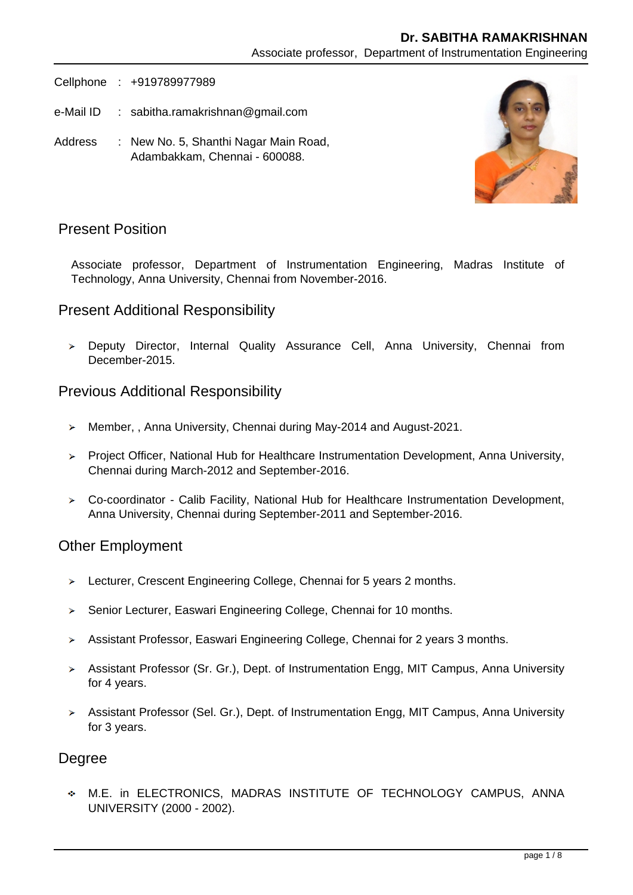### **Dr. SABITHA RAMAKRISHNAN**

Associate professor, Department of Instrumentation Engineering

Cellphone : +919789977989

- e-Mail ID : sabitha.ramakrishnan@gmail.com
- Address : New No. 5, Shanthi Nagar Main Road, Adambakkam, Chennai - 600088.



## Present Position

Associate professor, Department of Instrumentation Engineering, Madras Institute of Technology, Anna University, Chennai from November-2016.

## Present Additional Responsibility

Deputy Director, Internal Quality Assurance Cell, Anna University, Chennai from December-2015.

#### Previous Additional Responsibility

- > Member,, Anna University, Chennai during May-2014 and August-2021.
- Project Officer, National Hub for Healthcare Instrumentation Development, Anna University, Chennai during March-2012 and September-2016.
- Co-coordinator Calib Facility, National Hub for Healthcare Instrumentation Development, Anna University, Chennai during September-2011 and September-2016.

#### Other Employment

- $\geq$  Lecturer, Crescent Engineering College, Chennai for 5 years 2 months.
- Senior Lecturer, Easwari Engineering College, Chennai for 10 months.
- Assistant Professor, Easwari Engineering College, Chennai for 2 years 3 months.
- Assistant Professor (Sr. Gr.), Dept. of Instrumentation Engg, MIT Campus, Anna University for 4 years.
- Assistant Professor (Sel. Gr.), Dept. of Instrumentation Engg, MIT Campus, Anna University for 3 years.

# Degree

M.E. in ELECTRONICS, MADRAS INSTITUTE OF TECHNOLOGY CAMPUS, ANNA UNIVERSITY (2000 - 2002).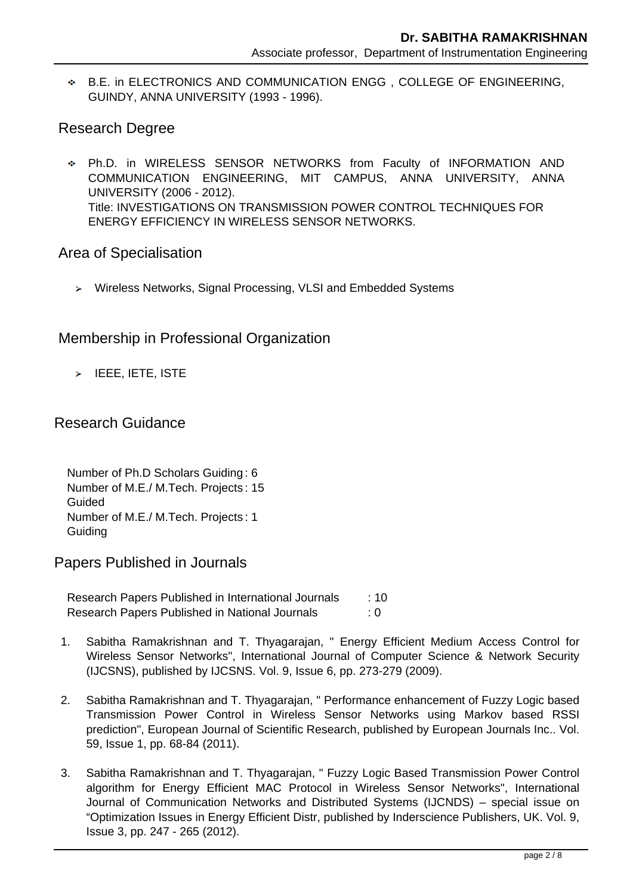B.E. in ELECTRONICS AND COMMUNICATION ENGG , COLLEGE OF ENGINEERING, GUINDY, ANNA UNIVERSITY (1993 - 1996).

# Research Degree

Ph.D. in WIRELESS SENSOR NETWORKS from Faculty of INFORMATION AND COMMUNICATION ENGINEERING, MIT CAMPUS, ANNA UNIVERSITY, ANNA UNIVERSITY (2006 - 2012). Title: INVESTIGATIONS ON TRANSMISSION POWER CONTROL TECHNIQUES FOR ENERGY EFFICIENCY IN WIRELESS SENSOR NETWORKS.

## Area of Specialisation

Wireless Networks, Signal Processing, VLSI and Embedded Systems

# Membership in Professional Organization

> IEEE, IETE, ISTE

# Research Guidance

Number of Ph.D Scholars Guiding : 6 Number of M.E./ M.Tech. Projects : 15 Guided Number of M.E./ M.Tech. Projects : 1 **Guiding** 

Papers Published in Journals

Research Papers Published in International Journals : 10 Research Papers Published in National Journals : 0

- 1. Sabitha Ramakrishnan and T. Thyagarajan, " Energy Efficient Medium Access Control for Wireless Sensor Networks", International Journal of Computer Science & Network Security (IJCSNS), published by IJCSNS. Vol. 9, Issue 6, pp. 273-279 (2009).
- 2. Sabitha Ramakrishnan and T. Thyagarajan, " Performance enhancement of Fuzzy Logic based Transmission Power Control in Wireless Sensor Networks using Markov based RSSI prediction", European Journal of Scientific Research, published by European Journals Inc.. Vol. 59, Issue 1, pp. 68-84 (2011).
- 3. Sabitha Ramakrishnan and T. Thyagarajan, " Fuzzy Logic Based Transmission Power Control algorithm for Energy Efficient MAC Protocol in Wireless Sensor Networks", International Journal of Communication Networks and Distributed Systems (IJCNDS) – special issue on "Optimization Issues in Energy Efficient Distr, published by Inderscience Publishers, UK. Vol. 9, Issue 3, pp. 247 - 265 (2012).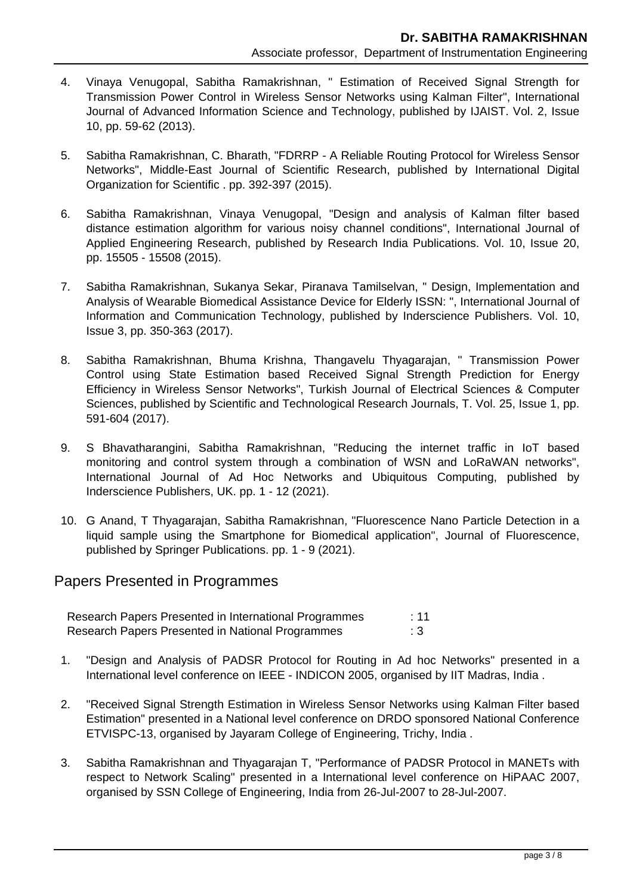- 4. Vinaya Venugopal, Sabitha Ramakrishnan, " Estimation of Received Signal Strength for Transmission Power Control in Wireless Sensor Networks using Kalman Filter", International Journal of Advanced Information Science and Technology, published by IJAIST. Vol. 2, Issue 10, pp. 59-62 (2013).
- 5. Sabitha Ramakrishnan, C. Bharath, "FDRRP A Reliable Routing Protocol for Wireless Sensor Networks", Middle-East Journal of Scientific Research, published by International Digital Organization for Scientific . pp. 392-397 (2015).
- 6. Sabitha Ramakrishnan, Vinaya Venugopal, "Design and analysis of Kalman filter based distance estimation algorithm for various noisy channel conditions", International Journal of Applied Engineering Research, published by Research India Publications. Vol. 10, Issue 20, pp. 15505 - 15508 (2015).
- 7. Sabitha Ramakrishnan, Sukanya Sekar, Piranava Tamilselvan, " Design, Implementation and Analysis of Wearable Biomedical Assistance Device for Elderly ISSN: ", International Journal of Information and Communication Technology, published by Inderscience Publishers. Vol. 10, Issue 3, pp. 350-363 (2017).
- 8. Sabitha Ramakrishnan, Bhuma Krishna, Thangavelu Thyagarajan, " Transmission Power Control using State Estimation based Received Signal Strength Prediction for Energy Efficiency in Wireless Sensor Networks", Turkish Journal of Electrical Sciences & Computer Sciences, published by Scientific and Technological Research Journals, T. Vol. 25, Issue 1, pp. 591-604 (2017).
- 9. S Bhavatharangini, Sabitha Ramakrishnan, "Reducing the internet traffic in IoT based monitoring and control system through a combination of WSN and LoRaWAN networks", International Journal of Ad Hoc Networks and Ubiquitous Computing, published by Inderscience Publishers, UK. pp. 1 - 12 (2021).
- 10. G Anand, T Thyagarajan, Sabitha Ramakrishnan, "Fluorescence Nano Particle Detection in a liquid sample using the Smartphone for Biomedical application", Journal of Fluorescence, published by Springer Publications. pp. 1 - 9 (2021).

#### Papers Presented in Programmes

| Research Papers Presented in International Programmes | :11 |
|-------------------------------------------------------|-----|
| Research Papers Presented in National Programmes      | : 3 |

- 1. "Design and Analysis of PADSR Protocol for Routing in Ad hoc Networks" presented in a International level conference on IEEE - INDICON 2005, organised by IIT Madras, India .
- 2. "Received Signal Strength Estimation in Wireless Sensor Networks using Kalman Filter based Estimation" presented in a National level conference on DRDO sponsored National Conference ETVISPC-13, organised by Jayaram College of Engineering, Trichy, India .
- 3. Sabitha Ramakrishnan and Thyagarajan T, "Performance of PADSR Protocol in MANETs with respect to Network Scaling" presented in a International level conference on HiPAAC 2007, organised by SSN College of Engineering, India from 26-Jul-2007 to 28-Jul-2007.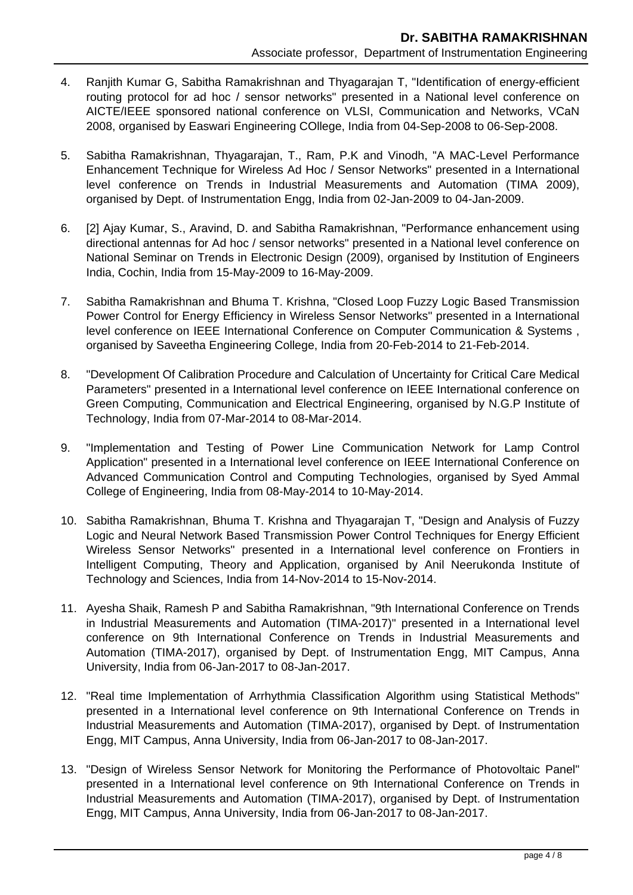- 4. Ranjith Kumar G, Sabitha Ramakrishnan and Thyagarajan T, "Identification of energy-efficient routing protocol for ad hoc / sensor networks" presented in a National level conference on AICTE/IEEE sponsored national conference on VLSI, Communication and Networks, VCaN 2008, organised by Easwari Engineering COllege, India from 04-Sep-2008 to 06-Sep-2008.
- 5. Sabitha Ramakrishnan, Thyagarajan, T., Ram, P.K and Vinodh, "A MAC-Level Performance Enhancement Technique for Wireless Ad Hoc / Sensor Networks" presented in a International level conference on Trends in Industrial Measurements and Automation (TIMA 2009), organised by Dept. of Instrumentation Engg, India from 02-Jan-2009 to 04-Jan-2009.
- 6. [2] Ajay Kumar, S., Aravind, D. and Sabitha Ramakrishnan, "Performance enhancement using directional antennas for Ad hoc / sensor networks" presented in a National level conference on National Seminar on Trends in Electronic Design (2009), organised by Institution of Engineers India, Cochin, India from 15-May-2009 to 16-May-2009.
- 7. Sabitha Ramakrishnan and Bhuma T. Krishna, "Closed Loop Fuzzy Logic Based Transmission Power Control for Energy Efficiency in Wireless Sensor Networks" presented in a International level conference on IEEE International Conference on Computer Communication & Systems , organised by Saveetha Engineering College, India from 20-Feb-2014 to 21-Feb-2014.
- 8. "Development Of Calibration Procedure and Calculation of Uncertainty for Critical Care Medical Parameters" presented in a International level conference on IEEE International conference on Green Computing, Communication and Electrical Engineering, organised by N.G.P Institute of Technology, India from 07-Mar-2014 to 08-Mar-2014.
- 9. "Implementation and Testing of Power Line Communication Network for Lamp Control Application" presented in a International level conference on IEEE International Conference on Advanced Communication Control and Computing Technologies, organised by Syed Ammal College of Engineering, India from 08-May-2014 to 10-May-2014.
- 10. Sabitha Ramakrishnan, Bhuma T. Krishna and Thyagarajan T, "Design and Analysis of Fuzzy Logic and Neural Network Based Transmission Power Control Techniques for Energy Efficient Wireless Sensor Networks" presented in a International level conference on Frontiers in Intelligent Computing, Theory and Application, organised by Anil Neerukonda Institute of Technology and Sciences, India from 14-Nov-2014 to 15-Nov-2014.
- 11. Ayesha Shaik, Ramesh P and Sabitha Ramakrishnan, "9th International Conference on Trends in Industrial Measurements and Automation (TIMA-2017)" presented in a International level conference on 9th International Conference on Trends in Industrial Measurements and Automation (TIMA-2017), organised by Dept. of Instrumentation Engg, MIT Campus, Anna University, India from 06-Jan-2017 to 08-Jan-2017.
- 12. "Real time Implementation of Arrhythmia Classification Algorithm using Statistical Methods" presented in a International level conference on 9th International Conference on Trends in Industrial Measurements and Automation (TIMA-2017), organised by Dept. of Instrumentation Engg, MIT Campus, Anna University, India from 06-Jan-2017 to 08-Jan-2017.
- 13. "Design of Wireless Sensor Network for Monitoring the Performance of Photovoltaic Panel" presented in a International level conference on 9th International Conference on Trends in Industrial Measurements and Automation (TIMA-2017), organised by Dept. of Instrumentation Engg, MIT Campus, Anna University, India from 06-Jan-2017 to 08-Jan-2017.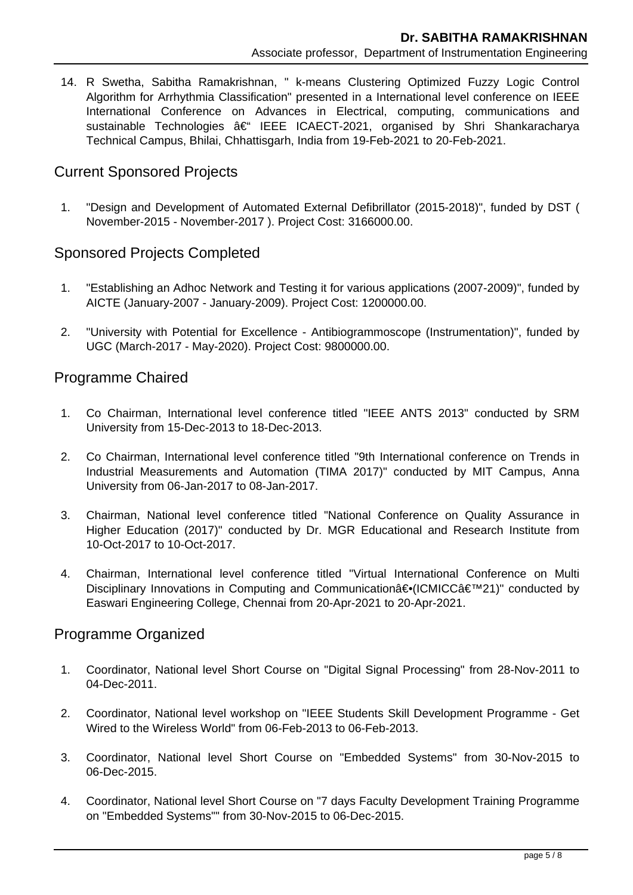14. R Swetha, Sabitha Ramakrishnan, " k-means Clustering Optimized Fuzzy Logic Control Algorithm for Arrhythmia Classification" presented in a International level conference on IEEE International Conference on Advances in Electrical, computing, communications and sustainable Technologies â€<sup>"</sup> IEEE ICAECT-2021, organised by Shri Shankaracharya Technical Campus, Bhilai, Chhattisgarh, India from 19-Feb-2021 to 20-Feb-2021.

# Current Sponsored Projects

 1. "Design and Development of Automated External Defibrillator (2015-2018)", funded by DST ( November-2015 - November-2017 ). Project Cost: 3166000.00.

## Sponsored Projects Completed

- 1. "Establishing an Adhoc Network and Testing it for various applications (2007-2009)", funded by AICTE (January-2007 - January-2009). Project Cost: 1200000.00.
- 2. "University with Potential for Excellence Antibiogrammoscope (Instrumentation)", funded by UGC (March-2017 - May-2020). Project Cost: 9800000.00.

# Programme Chaired

- 1. Co Chairman, International level conference titled "IEEE ANTS 2013" conducted by SRM University from 15-Dec-2013 to 18-Dec-2013.
- 2. Co Chairman, International level conference titled "9th International conference on Trends in Industrial Measurements and Automation (TIMA 2017)" conducted by MIT Campus, Anna University from 06-Jan-2017 to 08-Jan-2017.
- 3. Chairman, National level conference titled "National Conference on Quality Assurance in Higher Education (2017)" conducted by Dr. MGR Educational and Research Institute from 10-Oct-2017 to 10-Oct-2017.
- 4. Chairman, International level conference titled "Virtual International Conference on Multi Disciplinary Innovations in Computing and Communicationa<sup>∈•</sup>(ICMICCa  $\epsilon^{TM}$ 21)" conducted by Easwari Engineering College, Chennai from 20-Apr-2021 to 20-Apr-2021.

#### Programme Organized

- 1. Coordinator, National level Short Course on "Digital Signal Processing" from 28-Nov-2011 to 04-Dec-2011.
- 2. Coordinator, National level workshop on "IEEE Students Skill Development Programme Get Wired to the Wireless World" from 06-Feb-2013 to 06-Feb-2013.
- 3. Coordinator, National level Short Course on "Embedded Systems" from 30-Nov-2015 to 06-Dec-2015.
- 4. Coordinator, National level Short Course on "7 days Faculty Development Training Programme on "Embedded Systems"" from 30-Nov-2015 to 06-Dec-2015.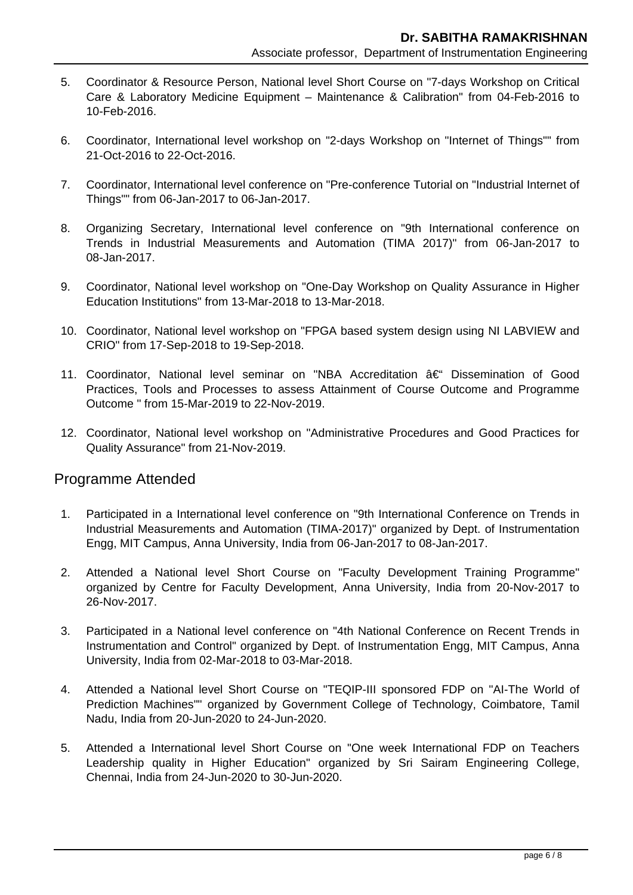- 5. Coordinator & Resource Person, National level Short Course on "7-days Workshop on Critical Care & Laboratory Medicine Equipment – Maintenance & Calibration" from 04-Feb-2016 to 10-Feb-2016.
- 6. Coordinator, International level workshop on "2-days Workshop on "Internet of Things"" from 21-Oct-2016 to 22-Oct-2016.
- 7. Coordinator, International level conference on "Pre-conference Tutorial on "Industrial Internet of Things"" from 06-Jan-2017 to 06-Jan-2017.
- 8. Organizing Secretary, International level conference on "9th International conference on Trends in Industrial Measurements and Automation (TIMA 2017)" from 06-Jan-2017 to 08-Jan-2017.
- 9. Coordinator, National level workshop on "One-Day Workshop on Quality Assurance in Higher Education Institutions" from 13-Mar-2018 to 13-Mar-2018.
- 10. Coordinator, National level workshop on "FPGA based system design using NI LABVIEW and CRIO" from 17-Sep-2018 to 19-Sep-2018.
- 11. Coordinator, National level seminar on "NBA Accreditation  $\hat{a} \in \mathcal{C}$ " Dissemination of Good Practices, Tools and Processes to assess Attainment of Course Outcome and Programme Outcome " from 15-Mar-2019 to 22-Nov-2019.
- 12. Coordinator, National level workshop on "Administrative Procedures and Good Practices for Quality Assurance" from 21-Nov-2019.

#### Programme Attended

- 1. Participated in a International level conference on "9th International Conference on Trends in Industrial Measurements and Automation (TIMA-2017)" organized by Dept. of Instrumentation Engg, MIT Campus, Anna University, India from 06-Jan-2017 to 08-Jan-2017.
- 2. Attended a National level Short Course on "Faculty Development Training Programme" organized by Centre for Faculty Development, Anna University, India from 20-Nov-2017 to 26-Nov-2017.
- 3. Participated in a National level conference on "4th National Conference on Recent Trends in Instrumentation and Control" organized by Dept. of Instrumentation Engg, MIT Campus, Anna University, India from 02-Mar-2018 to 03-Mar-2018.
- 4. Attended a National level Short Course on "TEQIP-III sponsored FDP on "AI-The World of Prediction Machines"" organized by Government College of Technology, Coimbatore, Tamil Nadu, India from 20-Jun-2020 to 24-Jun-2020.
- 5. Attended a International level Short Course on "One week International FDP on Teachers Leadership quality in Higher Education" organized by Sri Sairam Engineering College, Chennai, India from 24-Jun-2020 to 30-Jun-2020.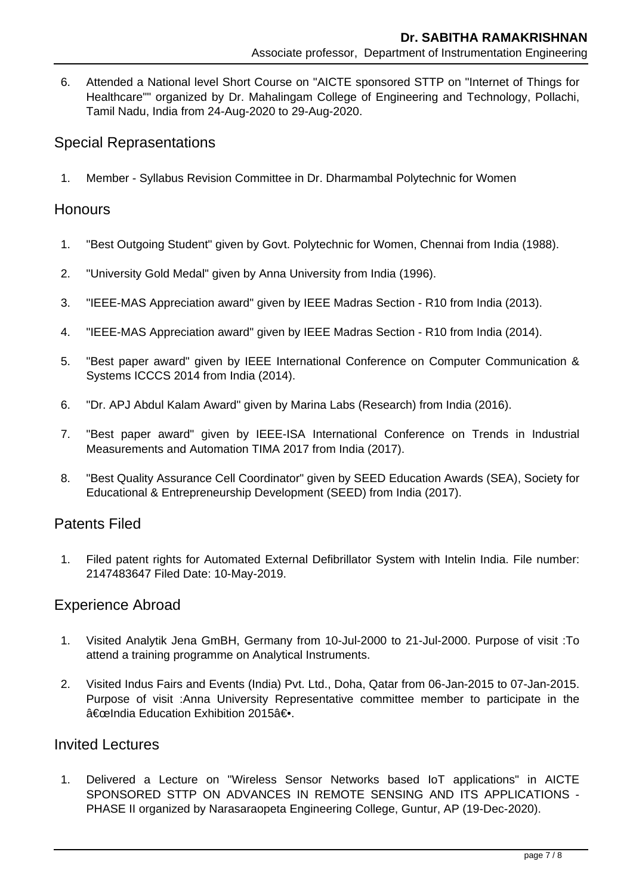6. Attended a National level Short Course on "AICTE sponsored STTP on "Internet of Things for Healthcare"" organized by Dr. Mahalingam College of Engineering and Technology, Pollachi, Tamil Nadu, India from 24-Aug-2020 to 29-Aug-2020.

# Special Reprasentations

1. Member - Syllabus Revision Committee in Dr. Dharmambal Polytechnic for Women

## **Honours**

- 1. "Best Outgoing Student" given by Govt. Polytechnic for Women, Chennai from India (1988).
- 2. "University Gold Medal" given by Anna University from India (1996).
- 3. "IEEE-MAS Appreciation award" given by IEEE Madras Section R10 from India (2013).
- 4. "IEEE-MAS Appreciation award" given by IEEE Madras Section R10 from India (2014).
- 5. "Best paper award" given by IEEE International Conference on Computer Communication & Systems ICCCS 2014 from India (2014).
- 6. "Dr. APJ Abdul Kalam Award" given by Marina Labs (Research) from India (2016).
- 7. "Best paper award" given by IEEE-ISA International Conference on Trends in Industrial Measurements and Automation TIMA 2017 from India (2017).
- 8. "Best Quality Assurance Cell Coordinator" given by SEED Education Awards (SEA), Society for Educational & Entrepreneurship Development (SEED) from India (2017).

#### Patents Filed

 1. Filed patent rights for Automated External Defibrillator System with Intelin India. File number: 2147483647 Filed Date: 10-May-2019.

# Experience Abroad

- 1. Visited Analytik Jena GmBH, Germany from 10-Jul-2000 to 21-Jul-2000. Purpose of visit :To attend a training programme on Analytical Instruments.
- 2. Visited Indus Fairs and Events (India) Pvt. Ltd., Doha, Qatar from 06-Jan-2015 to 07-Jan-2015. Purpose of visit :Anna University Representative committee member to participate in the "India Education Exhibition 2015―.

## Invited Lectures

 1. Delivered a Lecture on "Wireless Sensor Networks based IoT applications" in AICTE SPONSORED STTP ON ADVANCES IN REMOTE SENSING AND ITS APPLICATIONS - PHASE II organized by Narasaraopeta Engineering College, Guntur, AP (19-Dec-2020).